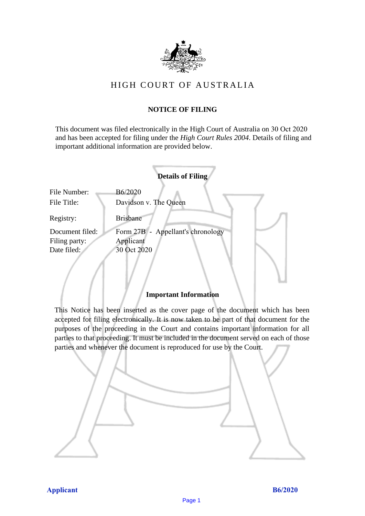

# HIGH COURT OF AU STRALIA HIGH COURT OF AUSTRALIA

## **NOTICE OF FILING** NOTICE OF FILING

This document was filed electronically in the High Court of Australia on 30 Oct 2020 This document was filed electronically in the High Court of Australia 0 and has been accepted for filing under the *High Court Rules 2004*. Details of filing and important additional information are provided below. important additional information are provided below.

|                 | <b>Details of Filing</b>          |
|-----------------|-----------------------------------|
| File Number:    | B6/2020                           |
| File Title:     | Davidson v. The Queen             |
| Registry:       | <b>Brisbane</b>                   |
| Document filed: | Form 27B - Appellant's chronology |
| Filing party:   | Applicant                         |
| Date filed:     | 30 Oct 2020                       |
|                 |                                   |

### **Important Information** Important Information

This Notice has been inserted as the cover page of the document which has been accepted for filing electronically. It is now taken to be part of that document for the purposes of the proceeding in the Court and contains important information for all parties to that proceeding. It must be included in the document served on each of those parties and whenever the document is reproduced for use by the Court. parties and whenever the document is reproduced for use by the Court

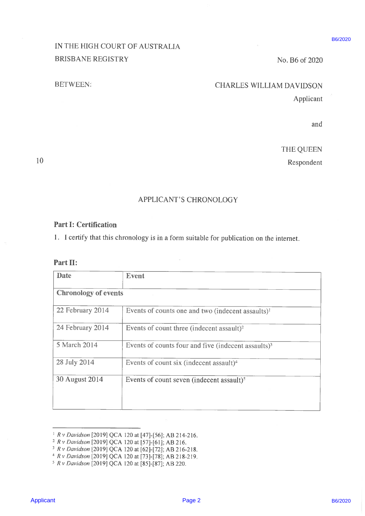# IN THE HIGH COURT OF AUSTRALIA BRISBANE REGISTRY No. B6 of 2020

## BETWEEN: CHARLES WILLIAM DAVIDSON

### APPLICANT'S CHRONOLOGY

### Part I: Certification

| ___ |  |
|-----|--|

|                              | IN THE HIGH COURT OF AUSTRALIA                                                                                                                                                                                                                                                                                                                     | B6/2020 |
|------------------------------|----------------------------------------------------------------------------------------------------------------------------------------------------------------------------------------------------------------------------------------------------------------------------------------------------------------------------------------------------|---------|
| <b>BRISBANE REGISTRY</b>     | No. B6 of 2020                                                                                                                                                                                                                                                                                                                                     |         |
|                              |                                                                                                                                                                                                                                                                                                                                                    |         |
| <b>BETWEEN:</b>              | <b>CHARLES WILLIAM DAVIDSON</b>                                                                                                                                                                                                                                                                                                                    |         |
|                              | Applicant                                                                                                                                                                                                                                                                                                                                          |         |
|                              | and                                                                                                                                                                                                                                                                                                                                                |         |
|                              | THE QUEEN                                                                                                                                                                                                                                                                                                                                          |         |
|                              | Respondent                                                                                                                                                                                                                                                                                                                                         |         |
|                              | <b>APPLICANT'S CHRONOLOGY</b>                                                                                                                                                                                                                                                                                                                      |         |
| <b>Part I: Certification</b> | 1. I certify that this chronology is in a form suitable for publication on the internet.                                                                                                                                                                                                                                                           |         |
| Part II:<br><b>Date</b>      |                                                                                                                                                                                                                                                                                                                                                    |         |
|                              | <b>Event</b>                                                                                                                                                                                                                                                                                                                                       |         |
| <b>Chronology of events</b>  |                                                                                                                                                                                                                                                                                                                                                    |         |
| 22 February 2014             | Events of counts one and two (indecent assaults) <sup>1</sup>                                                                                                                                                                                                                                                                                      |         |
| 24 February 2014             | Events of count three (indecent assault) $2$                                                                                                                                                                                                                                                                                                       |         |
| 5 March 2014                 | Events of counts four and five (indecent assaults) $3$                                                                                                                                                                                                                                                                                             |         |
| 28 July 2014                 | Events of count six (indecent assault) <sup>4</sup>                                                                                                                                                                                                                                                                                                |         |
| 30 August 2014               | Events of count seven (indecent assault) <sup>5</sup>                                                                                                                                                                                                                                                                                              |         |
|                              | <sup>1</sup> R v Davidson [2019] QCA 120 at [47]-[56]; AB 214-216.<br><sup>2</sup> R v Davidson [2019] QCA 120 at [57]-[61]; AB 216.<br><sup>3</sup> R v Davidson [2019] QCA 120 at [62]-[72]; AB 216-218.<br><sup>4</sup> R v Davidson [2019] QCA 120 at [73]-[78]; AB 218-219.<br><sup>5</sup> R v Davidson [2019] QCA 120 at [85]-[87]; AB 220. |         |
|                              |                                                                                                                                                                                                                                                                                                                                                    |         |

<sup>&#</sup>x27; Rv Davidson [2019] QCA 120 at [47]-[56]; AB 214-216.

<sup>2</sup> Rv Davidson [2019] QCA 120 at [57]-[61]; AB 216.

<sup>3</sup> Rv Davidson [2019] QCA 120 at [62]-[72]; AB 216-218.

<sup>\*</sup> Rv Davidson [2019] QCA 120 at [73]-[78]; AB 218-219.

<sup>&</sup>gt; Rv Davidson [2019] QCA 120 at [85]-[87]; AB 220.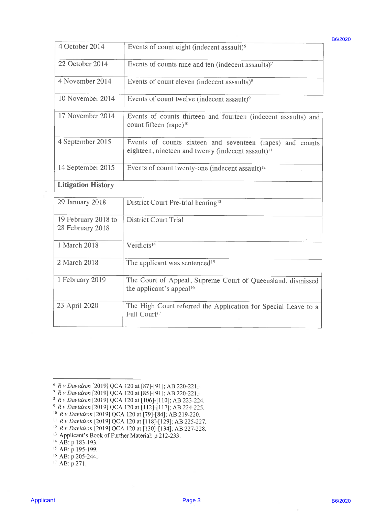| 4 October 2014                                                                                                                 |                                                                                                                                                                                                                                                                                                                                                                                                                                                                                                        | B6/2020 |
|--------------------------------------------------------------------------------------------------------------------------------|--------------------------------------------------------------------------------------------------------------------------------------------------------------------------------------------------------------------------------------------------------------------------------------------------------------------------------------------------------------------------------------------------------------------------------------------------------------------------------------------------------|---------|
|                                                                                                                                | Events of count eight (indecent assault) <sup>6</sup>                                                                                                                                                                                                                                                                                                                                                                                                                                                  |         |
| 22 October 2014                                                                                                                | Events of counts nine and ten (indecent assaults) <sup>7</sup>                                                                                                                                                                                                                                                                                                                                                                                                                                         |         |
| 4 November 2014                                                                                                                | Events of count eleven (indecent assaults) $8$                                                                                                                                                                                                                                                                                                                                                                                                                                                         |         |
| 10 November 2014                                                                                                               | Events of count twelve (indecent assault) <sup>9</sup>                                                                                                                                                                                                                                                                                                                                                                                                                                                 |         |
| 17 November 2014                                                                                                               | Events of counts thirteen and fourteen (indecent assaults) and<br>count fifteen (rape) <sup>10</sup>                                                                                                                                                                                                                                                                                                                                                                                                   |         |
| 4 September 2015                                                                                                               | Events of counts sixteen and seventeen (rapes) and counts<br>eighteen, nineteen and twenty (indecent assault) <sup>11</sup>                                                                                                                                                                                                                                                                                                                                                                            |         |
| 14 September 2015                                                                                                              | Events of count twenty-one (indecent assault) <sup>12</sup>                                                                                                                                                                                                                                                                                                                                                                                                                                            |         |
| <b>Litigation History</b>                                                                                                      |                                                                                                                                                                                                                                                                                                                                                                                                                                                                                                        |         |
| 29 January 2018                                                                                                                | District Court Pre-trial hearing <sup>13</sup>                                                                                                                                                                                                                                                                                                                                                                                                                                                         |         |
| 19 February 2018 to<br>28 February 2018                                                                                        | <b>District Court Trial</b>                                                                                                                                                                                                                                                                                                                                                                                                                                                                            |         |
| 1 March 2018                                                                                                                   | Verdicts <sup>14</sup>                                                                                                                                                                                                                                                                                                                                                                                                                                                                                 |         |
| 2 March 2018                                                                                                                   | The applicant was sentenced <sup>15</sup>                                                                                                                                                                                                                                                                                                                                                                                                                                                              |         |
| 1 February 2019                                                                                                                | The Court of Appeal, Supreme Court of Queensland, dismissed<br>the applicant's appeal <sup>16</sup>                                                                                                                                                                                                                                                                                                                                                                                                    |         |
| 23 April 2020                                                                                                                  | The High Court referred the Application for Special Leave to a<br>Full Court <sup>17</sup>                                                                                                                                                                                                                                                                                                                                                                                                             |         |
| <sup>13</sup> Applicant's Book of Further Material: p 212-233.<br><sup>14</sup> AB: p 183-193.<br><sup>15</sup> AB: p 195-199. | <sup>6</sup> R v Davidson [2019] QCA 120 at [87]-[91]; AB 220-221.<br><sup>7</sup> R v Davidson [2019] QCA 120 at [85]-[91]; AB 220-221.<br>8 R v Davidson [2019] QCA 120 at [106]-[110]; AB 223-224.<br><sup>9</sup> R v Davidson [2019] QCA 120 at [112]-[117]; AB 224-225.<br><sup>10</sup> R v Davidson [2019] QCA 120 at [79]-[84]; AB 219-220.<br><sup>11</sup> R v Davidson [2019] QCA 120 at [118]-[129]; AB 225-227.<br><sup>12</sup> R v Davidson [2019] QCA 120 at [130]-[134]; AB 227-228. |         |
| <sup>16</sup> AB: p 205-244.<br><sup>17</sup> AB: p 271.                                                                       |                                                                                                                                                                                                                                                                                                                                                                                                                                                                                                        |         |
| <b>Applicant</b>                                                                                                               | Page 3                                                                                                                                                                                                                                                                                                                                                                                                                                                                                                 | B6/2020 |

<sup>6</sup>Rv Davidson [2019] QCA 120 at [87]-[91]; AB 220-221.

- 7Rv Davidson [2019] QCA 120 at [85]-[91]; AB 220-221.
- Rv Davidson [2019] QCA 120 at [106]-[110]; AB 223-224.
- Rv Davidson [2019] QCA 120 at [112]-[117]; AB 224-225.
- 10Rv Davidson [2019] QCA 120 at [79]-[84]; AB 219-220.
- $NR$  v Davidson [2019] QCA 120 at [118]-[129]; AB 225-227.
- <sup>12</sup> R v Davidson [2019] QCA 120 at [130]-[134]; AB 227-228.
- <sup>13</sup> Applicant's Book of Further Material: p 212-233.
- <sup>14</sup> AB: p 183-193.

- 16AB: p 205-244.
- <sup>17</sup> AB: p 271.

B6/2020

<sup>&</sup>lt;sup>15</sup> AB: p 195-199.